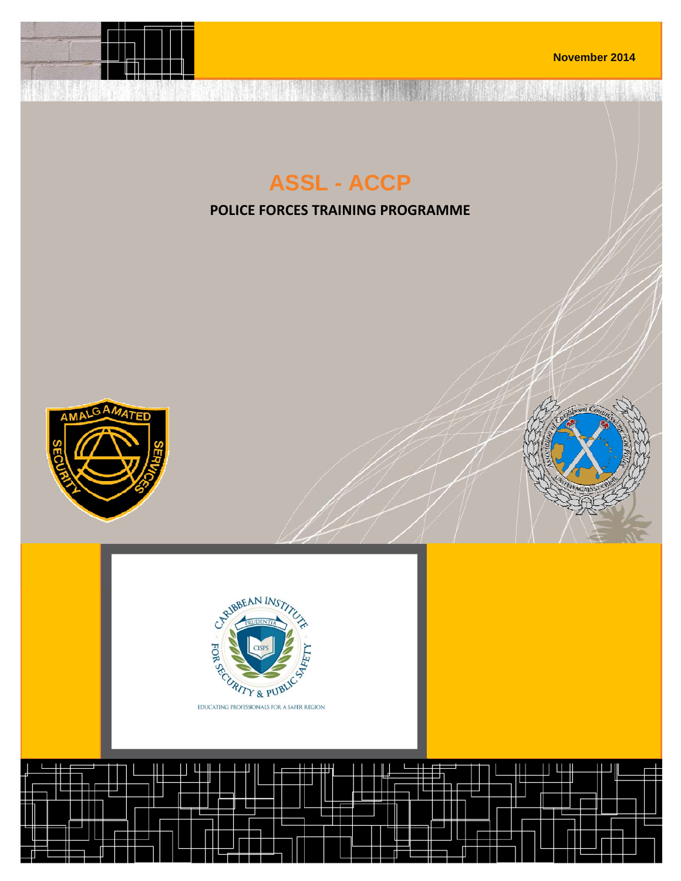

A STREET IS AND THE MANUFACTURE

## **ASSL - ACCP**

**POLICE FORCES TRAINING PROGRAMME**





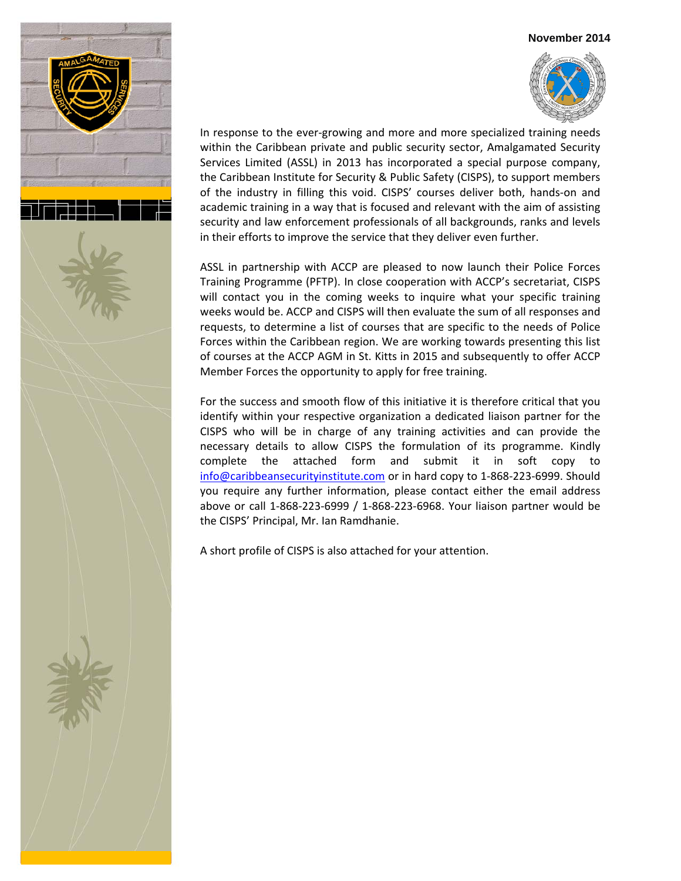



In response to the ever-growing and more and more specialized training needs within the Caribbean private and public security sector, Amalgamated Security Services Limited (ASSL) in 2013 has incorporated a special purpose company, the Caribbean Institute for Security & Public Safety (CISPS), to support members of the industry in filling this void. CISPS' courses deliver both, hands‐on and academic training in a way that is focused and relevant with the aim of assisting security and law enforcement professionals of all backgrounds, ranks and levels in their efforts to improve the service that they deliver even further.

ASSL in partnership with ACCP are pleased to now launch their Police Forces Training Programme (PFTP). In close cooperation with ACCP's secretariat, CISPS will contact you in the coming weeks to inquire what your specific training weeks would be. ACCP and CISPS will then evaluate the sum of all responses and requests, to determine a list of courses that are specific to the needs of Police Forces within the Caribbean region. We are working towards presenting this list of courses at the ACCP AGM in St. Kitts in 2015 and subsequently to offer ACCP Member Forces the opportunity to apply for free training.

For the success and smooth flow of this initiative it is therefore critical that you identify within your respective organization a dedicated liaison partner for the CISPS who will be in charge of any training activities and can provide the necessary details to allow CISPS the formulation of its programme. Kindly complete the attached form and submit it in soft copy to info@caribbeansecurityinstitute.com or in hard copy to 1‐868‐223‐6999. Should you require any further information, please contact either the email address above or call 1‐868‐223‐6999 / 1‐868‐223‐6968. Your liaison partner would be the CISPS' Principal, Mr. Ian Ramdhanie.

A short profile of CISPS is also attached for your attention.